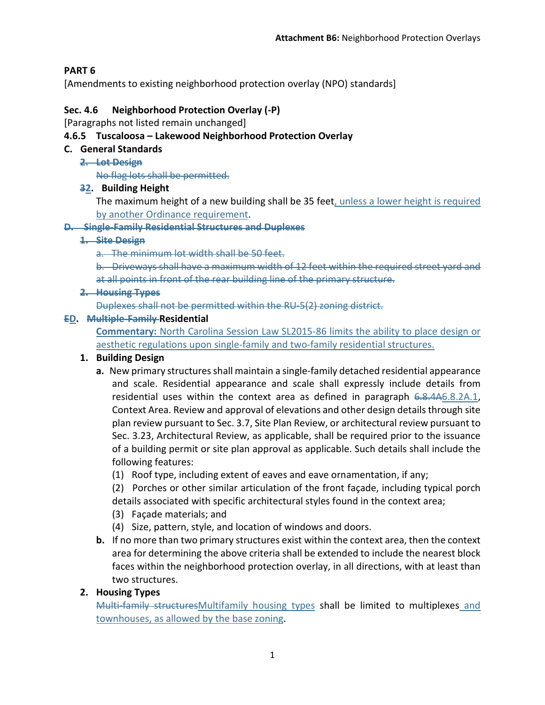# **PART 6**

[Amendments to existing neighborhood protection overlay (NPO) standards]

### **Sec. 4.6 Neighborhood Protection Overlay (-P)**

[Paragraphs not listed remain unchanged]

### **4.6.5 Tuscaloosa – Lakewood Neighborhood Protection Overlay**

#### **C. General Standards**

**2. Lot Design**

No flag lots shall be permitted.

### **32. Building Height**

The maximum height of a new building shall be 35 feet, unless a lower height is required by another Ordinance requirement.

#### **D. Single-Family Residential Structures and Duplexes**

#### **1. Site Design**

a. The minimum lot width shall be 50 feet.

b. Driveways shall have a maximum width of 12 feet within the required street yard and at all points in front of the rear building line of the primary structure.

**2. Housing Types**

Duplexes shall not be permitted within the RU-5(2) zoning district.

### **ED. Multiple-Family Residential**

**Commentary:** North Carolina Session Law SL2015-86 limits the ability to place design or aesthetic regulations upon single-family and two-family residential structures.

### **1. Building Design**

- **a.** New primary structures shall maintain a single-family detached residential appearance and scale. Residential appearance and scale shall expressly include details from residential uses within the context area as defined in paragraph  $6.8.4A6.8.2A.1$ , Context Area. Review and approval of elevations and other design details through site plan review pursuant to Sec. 3.7, Site Plan Review, or architectural review pursuant to Sec. 3.23, Architectural Review, as applicable, shall be required prior to the issuance of a building permit or site plan approval as applicable. Such details shall include the following features:
	- (1) Roof type, including extent of eaves and eave ornamentation, if any;
	- (2) Porches or other similar articulation of the front façade, including typical porch details associated with specific architectural styles found in the context area;
	- (3) Façade materials; and
	- (4) Size, pattern, style, and location of windows and doors.
- **b.** If no more than two primary structures exist within the context area, then the context area for determining the above criteria shall be extended to include the nearest block faces within the neighborhood protection overlay, in all directions, with at least than two structures.

## **2. Housing Types**

Multi-family structures Multifamily housing types shall be limited to multiplexes and townhouses, as allowed by the base zoning.